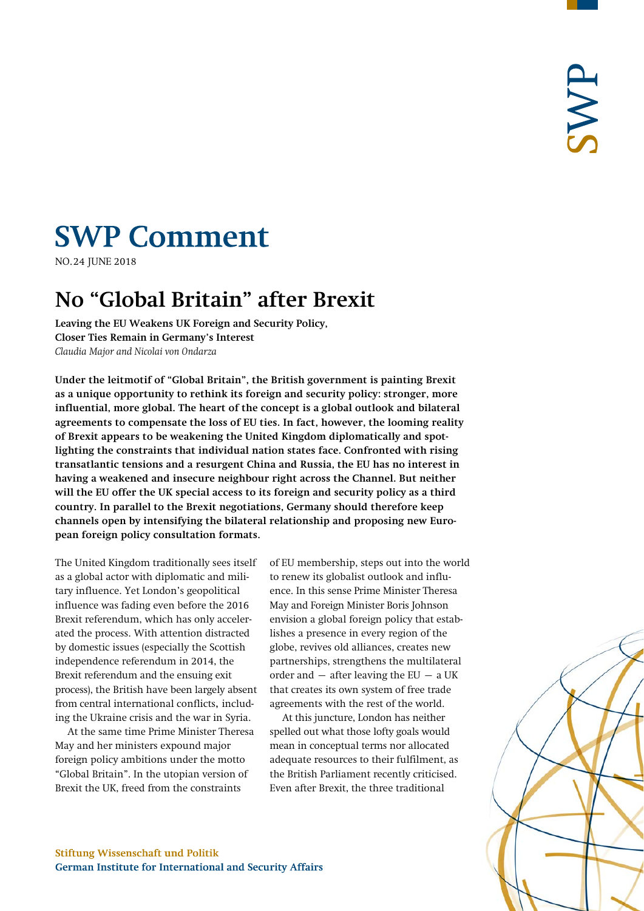# **SWP Comment**

**NO.24 JUNE 2018** 

# **No "Global Britain" after Brexit**

**Leaving the EU Weakens UK Foreign and Security Policy, Closer Ties Remain in Germany's Interest** *Claudia Major and Nicolai von Ondarza*

**Under the leitmotif of "Global Britain", the British government is painting Brexit as a unique opportunity to rethink its foreign and security policy: stronger, more influential, more global. The heart of the concept is a global outlook and bilateral agreements to compensate the loss of EU ties. In fact, however, the looming reality of Brexit appears to be weakening the United Kingdom diplomatically and spotlighting the constraints that individual nation states face. Confronted with rising transatlantic tensions and a resurgent China and Russia, the EU has no interest in having a weakened and insecure neighbour right across the Channel. But neither will the EU offer the UK special access to its foreign and security policy as a third country. In parallel to the Brexit negotiations, Germany should therefore keep channels open by intensifying the bilateral relationship and proposing new European foreign policy consultation formats.**

The United Kingdom traditionally sees itself as a global actor with diplomatic and military influence. Yet London's geopolitical influence was fading even before the 2016 Brexit referendum, which has only accelerated the process. With attention distracted by domestic issues (especially the Scottish independence referendum in 2014, the Brexit referendum and the ensuing exit process), the British have been largely absent from central international conflicts, including the Ukraine crisis and the war in Syria.

At the same time Prime Minister Theresa May and her ministers expound major foreign policy ambitions under the motto "Global Britain". In the utopian version of Brexit the UK, freed from the constraints

of EU membership, steps out into the world to renew its globalist outlook and influence. In this sense Prime Minister Theresa May and Foreign Minister Boris Johnson envision a global foreign policy that establishes a presence in every region of the globe, revives old alliances, creates new partnerships, strengthens the multilateral order and  $-$  after leaving the EU  $-$  a UK that creates its own system of free trade agreements with the rest of the world.

At this juncture, London has neither spelled out what those lofty goals would mean in conceptual terms nor allocated adequate resources to their fulfilment, as the British Parliament recently criticised. Even after Brexit, the three traditional

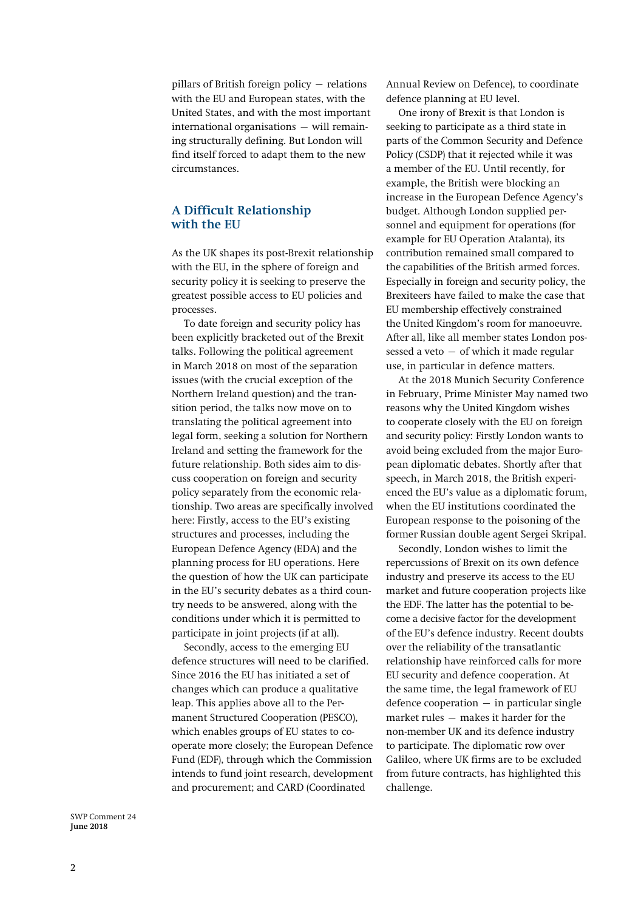pillars of British foreign policy – relations with the EU and European states, with the United States, and with the most important international organisations – will remaining structurally defining. But London will find itself forced to adapt them to the new circumstances.

## **A Difficult Relationship with the EU**

As the UK shapes its post-Brexit relationship with the EU, in the sphere of foreign and security policy it is seeking to preserve the greatest possible access to EU policies and processes.

To date foreign and security policy has been explicitly bracketed out of the Brexit talks. Following the political agreement in March 2018 on most of the separation issues (with the crucial exception of the Northern Ireland question) and the transition period, the talks now move on to translating the political agreement into legal form, seeking a solution for Northern Ireland and setting the framework for the future relationship. Both sides aim to discuss cooperation on foreign and security policy separately from the economic relationship. Two areas are specifically involved here: Firstly, access to the EU's existing structures and processes, including the European Defence Agency (EDA) and the planning process for EU operations. Here the question of how the UK can participate in the EU's security debates as a third country needs to be answered, along with the conditions under which it is permitted to participate in joint projects (if at all).

Secondly, access to the emerging EU defence structures will need to be clarified. Since 2016 the EU has initiated a set of changes which can produce a qualitative leap. This applies above all to the Permanent Structured Cooperation (PESCO), which enables groups of EU states to cooperate more closely; the European Defence Fund (EDF), through which the Commission intends to fund joint research, development and procurement; and CARD (Coordinated

Annual Review on Defence), to coordinate defence planning at EU level.

One irony of Brexit is that London is seeking to participate as a third state in parts of the Common Security and Defence Policy (CSDP) that it rejected while it was a member of the EU. Until recently, for example, the British were blocking an increase in the European Defence Agency's budget. Although London supplied personnel and equipment for operations (for example for EU Operation Atalanta), its contribution remained small compared to the capabilities of the British armed forces. Especially in foreign and security policy, the Brexiteers have failed to make the case that EU membership effectively constrained the United Kingdom's room for manoeuvre. After all, like all member states London possessed a veto – of which it made regular use, in particular in defence matters.

At the 2018 Munich Security Conference in February, Prime Minister May named two reasons why the United Kingdom wishes to cooperate closely with the EU on foreign and security policy: Firstly London wants to avoid being excluded from the major European diplomatic debates. Shortly after that speech, in March 2018, the British experienced the EU's value as a diplomatic forum, when the EU institutions coordinated the European response to the poisoning of the former Russian double agent Sergei Skripal.

Secondly, London wishes to limit the repercussions of Brexit on its own defence industry and preserve its access to the EU market and future cooperation projects like the EDF. The latter has the potential to become a decisive factor for the development of the EU's defence industry. Recent doubts over the reliability of the transatlantic relationship have reinforced calls for more EU security and defence cooperation. At the same time, the legal framework of EU  $defence cooperation - in particular single$ market rules – makes it harder for the non-member UK and its defence industry to participate. The diplomatic row over Galileo, where UK firms are to be excluded from future contracts, has highlighted this challenge.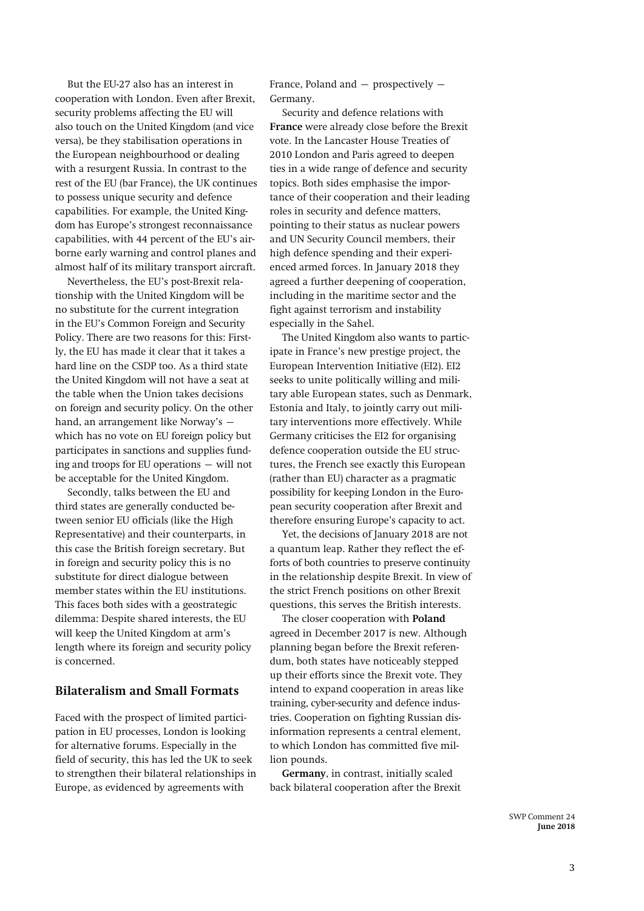But the EU-27 also has an interest in cooperation with London. Even after Brexit, security problems affecting the EU will also touch on the United Kingdom (and vice versa), be they stabilisation operations in the European neighbourhood or dealing with a resurgent Russia. In contrast to the rest of the EU (bar France), the UK continues to possess unique security and defence capabilities. For example, the United Kingdom has Europe's strongest reconnaissance capabilities, with 44 percent of the EU's airborne early warning and control planes and almost half of its military transport aircraft.

Nevertheless, the EU's post-Brexit relationship with the United Kingdom will be no substitute for the current integration in the EU's Common Foreign and Security Policy. There are two reasons for this: Firstly, the EU has made it clear that it takes a hard line on the CSDP too. As a third state the United Kingdom will not have a seat at the table when the Union takes decisions on foreign and security policy. On the other hand, an arrangement like Norway's – which has no vote on EU foreign policy but participates in sanctions and supplies funding and troops for EU operations – will not be acceptable for the United Kingdom.

Secondly, talks between the EU and third states are generally conducted between senior EU officials (like the High Representative) and their counterparts, in this case the British foreign secretary. But in foreign and security policy this is no substitute for direct dialogue between member states within the EU institutions. This faces both sides with a geostrategic dilemma: Despite shared interests, the EU will keep the United Kingdom at arm's length where its foreign and security policy is concerned.

### **Bilateralism and Small Formats**

Faced with the prospect of limited participation in EU processes, London is looking for alternative forums. Especially in the field of security, this has led the UK to seek to strengthen their bilateral relationships in Europe, as evidenced by agreements with

France, Poland and  $-$  prospectively  $-$ Germany.

Security and defence relations with **France** were already close before the Brexit vote. In the Lancaster House Treaties of 2010 London and Paris agreed to deepen ties in a wide range of defence and security topics. Both sides emphasise the importance of their cooperation and their leading roles in security and defence matters, pointing to their status as nuclear powers and UN Security Council members, their high defence spending and their experienced armed forces. In January 2018 they agreed a further deepening of cooperation, including in the maritime sector and the fight against terrorism and instability especially in the Sahel.

The United Kingdom also wants to participate in France's new prestige project, the European Intervention Initiative (EI2). EI2 seeks to unite politically willing and military able European states, such as Denmark, Estonia and Italy, to jointly carry out military interventions more effectively. While Germany criticises the EI2 for organising defence cooperation outside the EU structures, the French see exactly this European (rather than EU) character as a pragmatic possibility for keeping London in the European security cooperation after Brexit and therefore ensuring Europe's capacity to act.

Yet, the decisions of January 2018 are not a quantum leap. Rather they reflect the efforts of both countries to preserve continuity in the relationship despite Brexit. In view of the strict French positions on other Brexit questions, this serves the British interests.

The closer cooperation with **Poland** agreed in December 2017 is new. Although planning began before the Brexit referendum, both states have noticeably stepped up their efforts since the Brexit vote. They intend to expand cooperation in areas like training, cyber-security and defence industries. Cooperation on fighting Russian disinformation represents a central element, to which London has committed five million pounds.

**Germany**, in contrast, initially scaled back bilateral cooperation after the Brexit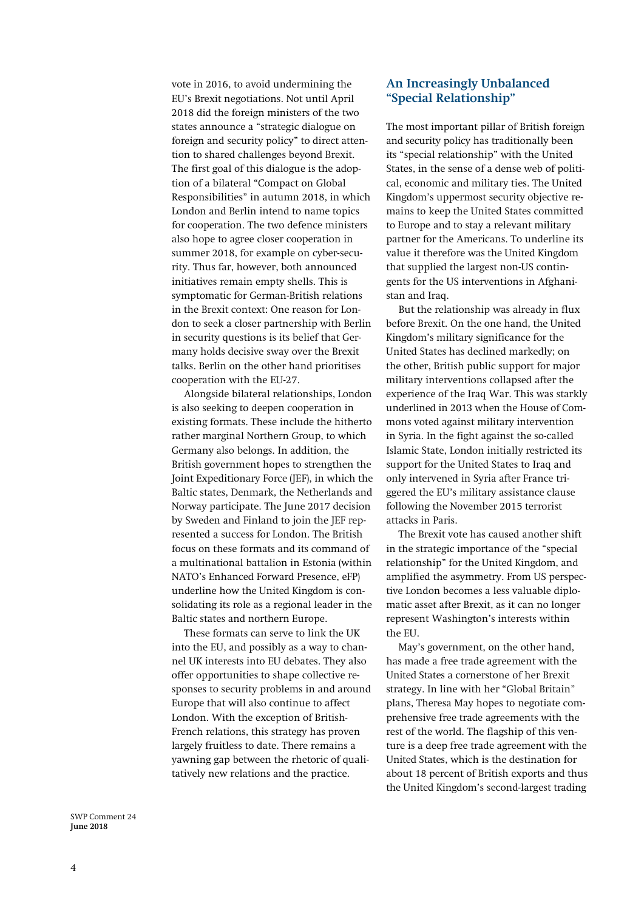vote in 2016, to avoid undermining the EU's Brexit negotiations. Not until April 2018 did the foreign ministers of the two states announce a "strategic dialogue on foreign and security policy" to direct attention to shared challenges beyond Brexit. The first goal of this dialogue is the adoption of a bilateral "Compact on Global Responsibilities" in autumn 2018, in which London and Berlin intend to name topics for cooperation. The two defence ministers also hope to agree closer cooperation in summer 2018, for example on cyber-security. Thus far, however, both announced initiatives remain empty shells. This is symptomatic for German-British relations in the Brexit context: One reason for London to seek a closer partnership with Berlin in security questions is its belief that Germany holds decisive sway over the Brexit talks. Berlin on the other hand prioritises cooperation with the EU-27.

Alongside bilateral relationships, London is also seeking to deepen cooperation in existing formats. These include the hitherto rather marginal Northern Group, to which Germany also belongs. In addition, the British government hopes to strengthen the Joint Expeditionary Force (JEF), in which the Baltic states, Denmark, the Netherlands and Norway participate. The June 2017 decision by Sweden and Finland to join the JEF represented a success for London. The British focus on these formats and its command of a multinational battalion in Estonia (within NATO's Enhanced Forward Presence, eFP) underline how the United Kingdom is consolidating its role as a regional leader in the Baltic states and northern Europe.

These formats can serve to link the UK into the EU, and possibly as a way to channel UK interests into EU debates. They also offer opportunities to shape collective responses to security problems in and around Europe that will also continue to affect London. With the exception of British-French relations, this strategy has proven largely fruitless to date. There remains a yawning gap between the rhetoric of qualitatively new relations and the practice.

**An Increasingly Unbalanced "Special Relationship"**

The most important pillar of British foreign and security policy has traditionally been its "special relationship" with the United States, in the sense of a dense web of political, economic and military ties. The United Kingdom's uppermost security objective remains to keep the United States committed to Europe and to stay a relevant military partner for the Americans. To underline its value it therefore was the United Kingdom that supplied the largest non-US contingents for the US interventions in Afghanistan and Iraq.

But the relationship was already in flux before Brexit. On the one hand, the United Kingdom's military significance for the United States has declined markedly; on the other, British public support for major military interventions collapsed after the experience of the Iraq War. This was starkly underlined in 2013 when the House of Commons voted against military intervention in Syria. In the fight against the so-called Islamic State, London initially restricted its support for the United States to Iraq and only intervened in Syria after France triggered the EU's military assistance clause following the November 2015 terrorist attacks in Paris.

The Brexit vote has caused another shift in the strategic importance of the "special relationship" for the United Kingdom, and amplified the asymmetry. From US perspective London becomes a less valuable diplomatic asset after Brexit, as it can no longer represent Washington's interests within the EU.

May's government, on the other hand, has made a free trade agreement with the United States a cornerstone of her Brexit strategy. In line with her "Global Britain" plans, Theresa May hopes to negotiate comprehensive free trade agreements with the rest of the world. The flagship of this venture is a deep free trade agreement with the United States, which is the destination for about 18 percent of British exports and thus the United Kingdom's second-largest trading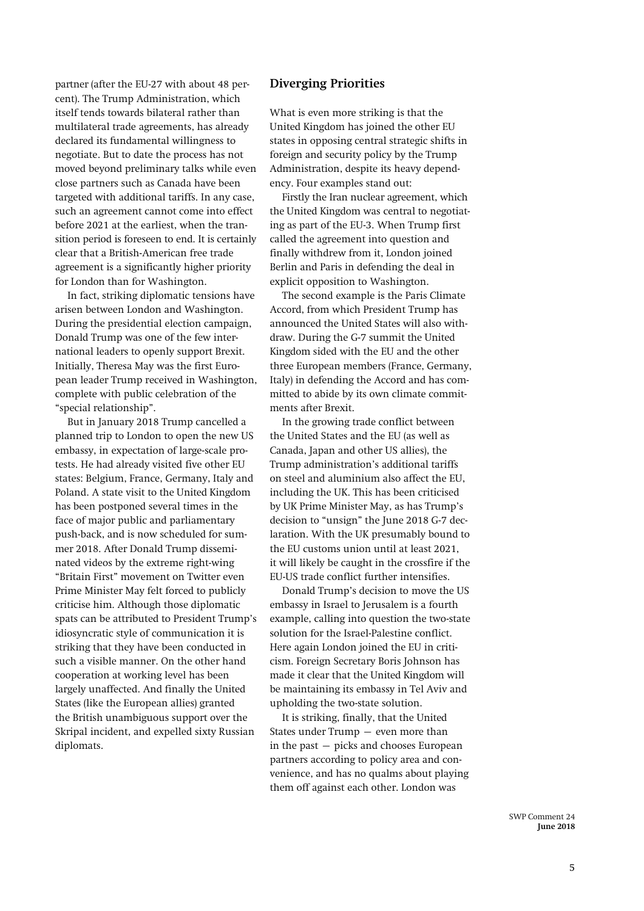partner (after the EU-27 with about 48 percent). The Trump Administration, which itself tends towards bilateral rather than multilateral trade agreements, has already declared its fundamental willingness to negotiate. But to date the process has not moved beyond preliminary talks while even close partners such as Canada have been targeted with additional tariffs. In any case, such an agreement cannot come into effect before 2021 at the earliest, when the transition period is foreseen to end. It is certainly clear that a British-American free trade agreement is a significantly higher priority for London than for Washington.

In fact, striking diplomatic tensions have arisen between London and Washington. During the presidential election campaign, Donald Trump was one of the few international leaders to openly support Brexit. Initially, Theresa May was the first European leader Trump received in Washington, complete with public celebration of the "special relationship".

But in January 2018 Trump cancelled a planned trip to London to open the new US embassy, in expectation of large-scale protests. He had already visited five other EU states: Belgium, France, Germany, Italy and Poland. A state visit to the United Kingdom has been postponed several times in the face of major public and parliamentary push-back, and is now scheduled for summer 2018. After Donald Trump disseminated videos by the extreme right-wing "Britain First" movement on Twitter even Prime Minister May felt forced to publicly criticise him. Although those diplomatic spats can be attributed to President Trump's idiosyncratic style of communication it is striking that they have been conducted in such a visible manner. On the other hand cooperation at working level has been largely unaffected. And finally the United States (like the European allies) granted the British unambiguous support over the Skripal incident, and expelled sixty Russian diplomats.

#### **Diverging Priorities**

What is even more striking is that the United Kingdom has joined the other EU states in opposing central strategic shifts in foreign and security policy by the Trump Administration, despite its heavy dependency. Four examples stand out:

Firstly the Iran nuclear agreement, which the United Kingdom was central to negotiating as part of the EU-3. When Trump first called the agreement into question and finally withdrew from it, London joined Berlin and Paris in defending the deal in explicit opposition to Washington.

The second example is the Paris Climate Accord, from which President Trump has announced the United States will also withdraw. During the G-7 summit the United Kingdom sided with the EU and the other three European members (France, Germany, Italy) in defending the Accord and has committed to abide by its own climate commitments after Brexit.

In the growing trade conflict between the United States and the EU (as well as Canada, Japan and other US allies), the Trump administration's additional tariffs on steel and aluminium also affect the EU, including the UK. This has been criticised by UK Prime Minister May, as has Trump's decision to "unsign" the June 2018 G-7 declaration. With the UK presumably bound to the EU customs union until at least 2021, it will likely be caught in the crossfire if the EU-US trade conflict further intensifies.

Donald Trump's decision to move the US embassy in Israel to Jerusalem is a fourth example, calling into question the two-state solution for the Israel-Palestine conflict. Here again London joined the EU in criticism. Foreign Secretary Boris Johnson has made it clear that the United Kingdom will be maintaining its embassy in Tel Aviv and upholding the two-state solution.

It is striking, finally, that the United States under Trump – even more than in the past – picks and chooses European partners according to policy area and convenience, and has no qualms about playing them off against each other. London was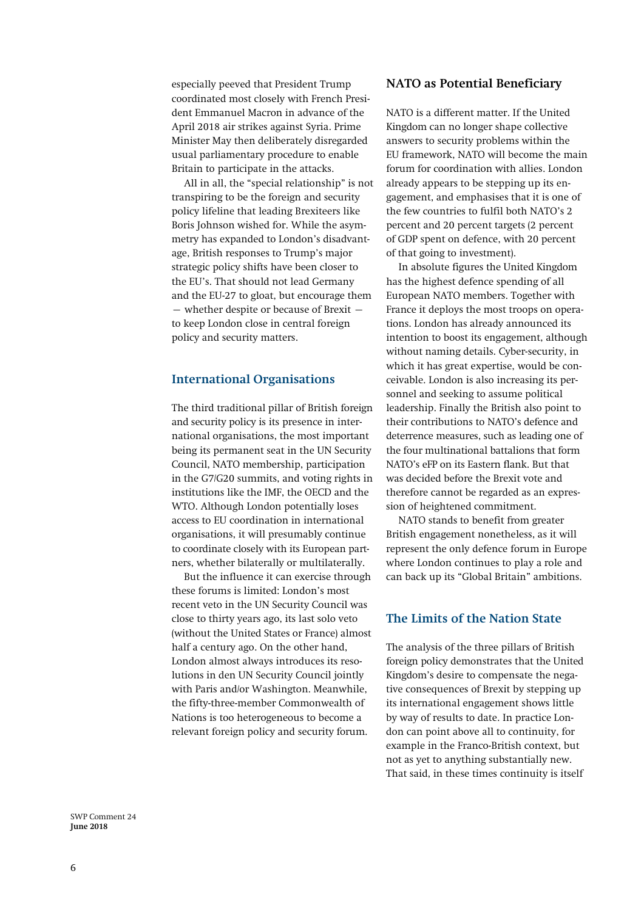especially peeved that President Trump coordinated most closely with French President Emmanuel Macron in advance of the April 2018 air strikes against Syria. Prime Minister May then deliberately disregarded usual parliamentary procedure to enable Britain to participate in the attacks.

All in all, the "special relationship" is not transpiring to be the foreign and security policy lifeline that leading Brexiteers like Boris Johnson wished for. While the asymmetry has expanded to London's disadvantage, British responses to Trump's major strategic policy shifts have been closer to the EU's. That should not lead Germany and the EU-27 to gloat, but encourage them – whether despite or because of Brexit – to keep London close in central foreign policy and security matters.

#### **International Organisations**

The third traditional pillar of British foreign and security policy is its presence in international organisations, the most important being its permanent seat in the UN Security Council, NATO membership, participation in the G7/G20 summits, and voting rights in institutions like the IMF, the OECD and the WTO. Although London potentially loses access to EU coordination in international organisations, it will presumably continue to coordinate closely with its European partners, whether bilaterally or multilaterally.

But the influence it can exercise through these forums is limited: London's most recent veto in the UN Security Council was close to thirty years ago, its last solo veto (without the United States or France) almost half a century ago. On the other hand, London almost always introduces its resolutions in den UN Security Council jointly with Paris and/or Washington. Meanwhile, the fifty-three-member Commonwealth of Nations is too heterogeneous to become a relevant foreign policy and security forum.

#### **NATO as Potential Beneficiary**

NATO is a different matter. If the United Kingdom can no longer shape collective answers to security problems within the EU framework, NATO will become the main forum for coordination with allies. London already appears to be stepping up its engagement, and emphasises that it is one of the few countries to fulfil both NATO's 2 percent and 20 percent targets (2 percent of GDP spent on defence, with 20 percent of that going to investment).

In absolute figures the United Kingdom has the highest defence spending of all European NATO members. Together with France it deploys the most troops on operations. London has already announced its intention to boost its engagement, although without naming details. Cyber-security, in which it has great expertise, would be conceivable. London is also increasing its personnel and seeking to assume political leadership. Finally the British also point to their contributions to NATO's defence and deterrence measures, such as leading one of the four multinational battalions that form NATO's eFP on its Eastern flank. But that was decided before the Brexit vote and therefore cannot be regarded as an expression of heightened commitment.

NATO stands to benefit from greater British engagement nonetheless, as it will represent the only defence forum in Europe where London continues to play a role and can back up its "Global Britain" ambitions.

#### **The Limits of the Nation State**

The analysis of the three pillars of British foreign policy demonstrates that the United Kingdom's desire to compensate the negative consequences of Brexit by stepping up its international engagement shows little by way of results to date. In practice London can point above all to continuity, for example in the Franco-British context, but not as yet to anything substantially new. That said, in these times continuity is itself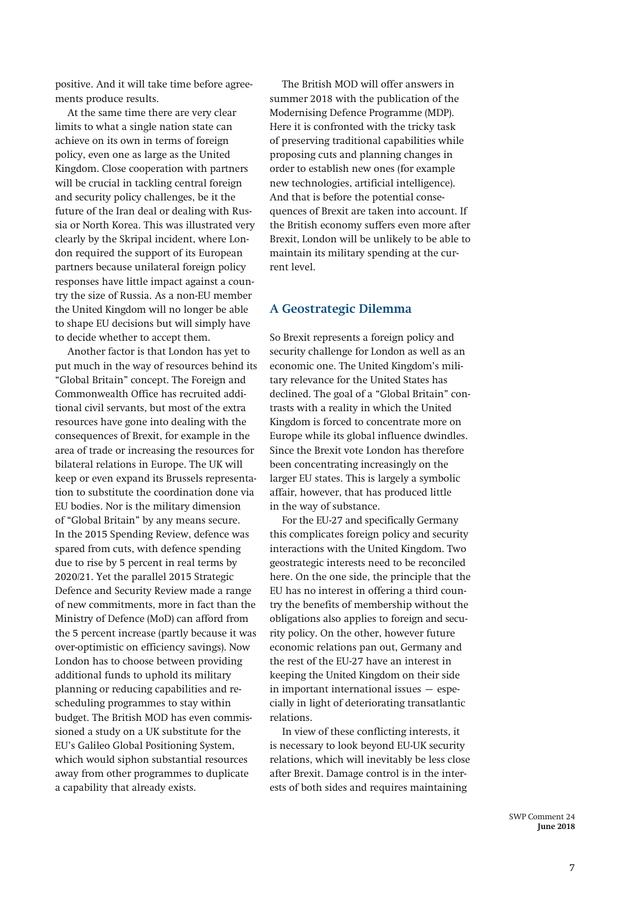positive. And it will take time before agreements produce results.

At the same time there are very clear limits to what a single nation state can achieve on its own in terms of foreign policy, even one as large as the United Kingdom. Close cooperation with partners will be crucial in tackling central foreign and security policy challenges, be it the future of the Iran deal or dealing with Russia or North Korea. This was illustrated very clearly by the Skripal incident, where London required the support of its European partners because unilateral foreign policy responses have little impact against a country the size of Russia. As a non-EU member the United Kingdom will no longer be able to shape EU decisions but will simply have to decide whether to accept them.

Another factor is that London has yet to put much in the way of resources behind its "Global Britain" concept. The Foreign and Commonwealth Office has recruited additional civil servants, but most of the extra resources have gone into dealing with the consequences of Brexit, for example in the area of trade or increasing the resources for bilateral relations in Europe. The UK will keep or even expand its Brussels representation to substitute the coordination done via EU bodies. Nor is the military dimension of "Global Britain" by any means secure. In the 2015 Spending Review, defence was spared from cuts, with defence spending due to rise by 5 percent in real terms by 2020/21. Yet the parallel 2015 Strategic Defence and Security Review made a range of new commitments, more in fact than the Ministry of Defence (MoD) can afford from the 5 percent increase (partly because it was over-optimistic on efficiency savings). Now London has to choose between providing additional funds to uphold its military planning or reducing capabilities and rescheduling programmes to stay within budget. The British MOD has even commissioned a study on a UK substitute for the EU's Galileo Global Positioning System, which would siphon substantial resources away from other programmes to duplicate a capability that already exists.

The British MOD will offer answers in summer 2018 with the publication of the Modernising Defence Programme (MDP). Here it is confronted with the tricky task of preserving traditional capabilities while proposing cuts and planning changes in order to establish new ones (for example new technologies, artificial intelligence). And that is before the potential consequences of Brexit are taken into account. If the British economy suffers even more after Brexit, London will be unlikely to be able to maintain its military spending at the current level.

#### **A Geostrategic Dilemma**

So Brexit represents a foreign policy and security challenge for London as well as an economic one. The United Kingdom's military relevance for the United States has declined. The goal of a "Global Britain" contrasts with a reality in which the United Kingdom is forced to concentrate more on Europe while its global influence dwindles. Since the Brexit vote London has therefore been concentrating increasingly on the larger EU states. This is largely a symbolic affair, however, that has produced little in the way of substance.

For the EU-27 and specifically Germany this complicates foreign policy and security interactions with the United Kingdom. Two geostrategic interests need to be reconciled here. On the one side, the principle that the EU has no interest in offering a third country the benefits of membership without the obligations also applies to foreign and security policy. On the other, however future economic relations pan out, Germany and the rest of the EU-27 have an interest in keeping the United Kingdom on their side in important international issues – especially in light of deteriorating transatlantic relations.

In view of these conflicting interests, it is necessary to look beyond EU-UK security relations, which will inevitably be less close after Brexit. Damage control is in the interests of both sides and requires maintaining